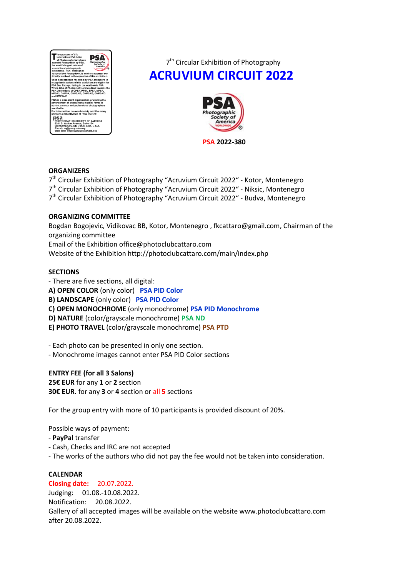

7<sup>th</sup> Circular Exhibition of Photography **ACRUVIUM CIRCUIT 2022**



**PSA 2022-380**

## **ORGANIZERS**

7<sup>th</sup> Circular Exhibition of Photography "Acruvium Circuit 2022" - Kotor, Montenegro 7<sup>th</sup> Circular Exhibition of Photography "Acruvium Circuit 2022" - Niksic, Montenegro 7<sup>th</sup> Circular Exhibition of Photography "Acruvium Circuit 2022" - Budva, Montenegro

## **ORGANIZING COMMITTEE**

Bogdan Bogojevic, Vidikovac BB, Kotor, Montenegro , fkcattaro@gmail.com, Chairman of the organizing committee Email of the Exhibition [office@photoclubcattaro.com](mailto:office@photoclubmontenegro.com)  Website of the Exhibition http://photoclubcattaro.com/main/index.php

## **SECTIONS**

- There are five sections, all digital:

**A) OPEN COLOR** (only color) **PSA PID Color** 

**B) LANDSCAPE** (only color) **PSA PID Color**

**C) OPEN MONOCHROME** (only monochrome) **PSA PID Monochrome**

**D) NATURE** (color/grayscale monochrome) **PSA ND**

**E) PHOTO TRAVEL** (color/grayscale monochrome) **PSA PTD**

- Each photo can be presented in only one section.

- Monochrome images cannot enter PSA PID Color sections

## **ENTRY FEE (for all 3 Salons)**

**25€ EUR** for any **1** or **2** section **30€ EUR.** for any **3** or **4** section or all **5** sections

For the group entry with more of 10 participants is provided discount of 20%.

Possible ways of payment:

- **PayPal** transfer
- Cash, Checks and IRC are not accepted
- The works of the authors who did not pay the fee would not be taken into consideration.

## **CALENDAR**

## **Closing date:** 20.07.2022.

Judging: 01.08.-10.08.2022. Notification: 20.08.2022. Gallery of all accepted images will be available on the website www.photoclubcattaro.com after 20.08.2022.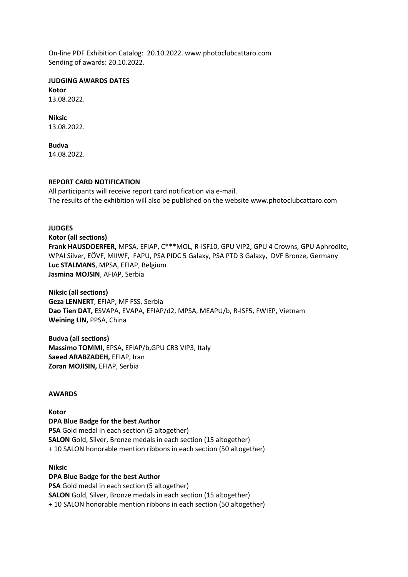On-line PDF Exhibition Catalog: 20.10.2022. www.photoclubcattaro.com Sending of awards: 20.10.2022.

**JUDGING AWARDS DATES Kotor**

13.08.2022.

**Niksic** 13.08.2022.

**Budva** 14.08.2022.

## **REPORT CARD NOTIFICATION**

All participants will receive report card notification via e-mail. The results of the exhibition will also be published on the website www.photoclubcattaro.com

# **JUDGES**

**Kotor (all sections) Frank HAUSDOERFER,** MPSA, EFIAP, C\*\*\*MOL, R-ISF10, GPU VIP2, GPU 4 Crowns, GPU Aphrodite, WPAI Silver, EÖVF, MIIWF, FAPU, PSA PIDC 5 Galaxy, PSA PTD 3 Galaxy, DVF Bronze, Germany **Luc STALMANS**, MPSA, EFIAP, Belgium **Jasmina MOJSIN**, AFIAP, Serbia

**Niksic (all sections) Geza LENNERT**, EFIAP, MF FSS, Serbia **Dao Tien DAT,** ESVAPA, EVAPA, EFIAP/d2, MPSA, MEAPU/b, R-ISF5, FWIEP, Vietnam **Weining LIN,** PPSA, China

**Budva (all sections) Massimo TOMMI**, EPSA, EFIAP/b,GPU CR3 VIP3, Italy **Saeed ARABZADEH,** EFIAP, Iran **Zoran MOJISIN,** EFIAP, Serbia

## **AWARDS**

#### **Kotor DPA Blue Badge for the best Author**

**PSA** Gold medal in each section (5 altogether) **SALON** Gold, Silver, Bronze medals in each section (15 altogether) + 10 SALON honorable mention ribbons in each section (50 altogether)

# **Niksic**

# **DPA Blue Badge for the best Author**

**PSA** Gold medal in each section (5 altogether) **SALON** Gold, Silver, Bronze medals in each section (15 altogether) + 10 SALON honorable mention ribbons in each section (50 altogether)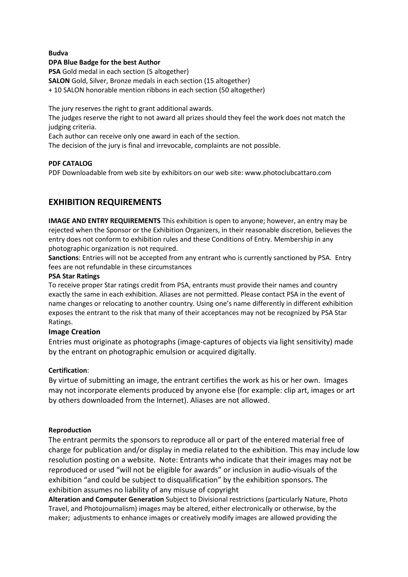## **Budva**

## **DPA Blue Badge for the best Author**

**PSA** Gold medal in each section (5 altogether) **SALON** Gold, Silver, Bronze medals in each section (15 altogether)

+ 10 SALON honorable mention ribbons in each section (50 altogether)

The jury reserves the right to grant additional awards.

The judges reserve the right to not award all prizes should they feel the work does not match the judging criteria.

Each author can receive only one award in each of the section.

The decision of the jury is final and irrevocable, complaints are not possible.

## **PDF CATALOG**

PDF Downloadable from web site by exhibitors on our web site: www.photoclubcattaro.com

# **EXHIBITION REQUIREMENTS**

**IMAGE AND ENTRY REQUIREMENTS** This exhibition is open to anyone; however, an entry may be rejected when the Sponsor or the Exhibition Organizers, in their reasonable discretion, believes the entry does not conform to exhibition rules and these Conditions of Entry. Membership in any photographic organization is not required.

**Sanctions**: Entries will not be accepted from any entrant who is currently sanctioned by PSA. Entry fees are not refundable in these circumstances

## **PSA Star Ratings**

To receive proper Star ratings credit from PSA, entrants must provide their names and country exactly the same in each exhibition. Aliases are not permitted. Please contact PSA in the event of name changes or relocating to another country. Using one's name differently in different exhibition exposes the entrant to the risk that many of their acceptances may not be recognized by PSA Star Ratings.

# **Image Creation**

Entries must originate as photographs (image-captures of objects via light sensitivity) made by the entrant on photographic emulsion or acquired digitally.

# **Certification**:

By virtue of submitting an image, the entrant certifies the work as his or her own. Images may not incorporate elements produced by anyone else (for example: clip art, images or art by others downloaded from the Internet). Aliases are not allowed.

# **Reproduction**

The entrant permits the sponsors to reproduce all or part of the entered material free of charge for publication and/or display in media related to the exhibition. This may include low resolution posting on a website. Note: Entrants who indicate that their images may not be reproduced or used "will not be eligible for awards" or inclusion in audio-visuals of the exhibition "and could be subject to disqualification" by the exhibition sponsors. The exhibition assumes no liability of any misuse of copyright

**Alteration and Computer Generation** Subject to Divisional restrictions (particularly Nature, Photo Travel, and Photojournalism) images may be altered, either electronically or otherwise, by the maker; adjustments to enhance images or creatively modify images are allowed providing the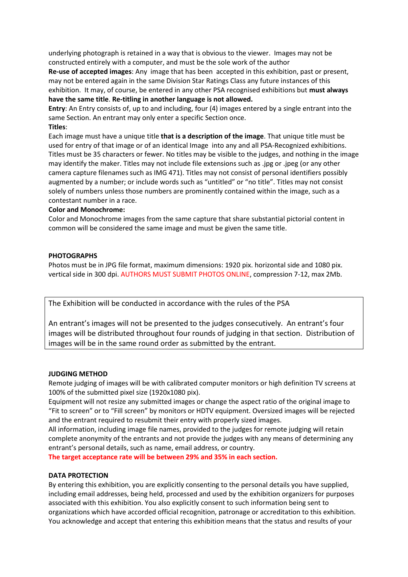underlying photograph is retained in a way that is obvious to the viewer. Images may not be constructed entirely with a computer, and must be the sole work of the author

**Re-use of accepted images**: Any image that has been accepted in this exhibition, past or present, may not be entered again in the same Division Star Ratings Class any future instances of this exhibition. It may, of course, be entered in any other PSA recognised exhibitions but **must always have the same title**. **Re-titling in another language is not allowed.**

**Entry**: An Entry consists of, up to and including, four (4) images entered by a single entrant into the same Section. An entrant may only enter a specific Section once.

**Titles**:

Each image must have a unique title **that is a description of the image**. That unique title must be used for entry of that image or of an identical Image into any and all PSA-Recognized exhibitions. Titles must be 35 characters or fewer. No titles may be visible to the judges, and nothing in the image may identify the maker. Titles may not include file extensions such as .jpg or .jpeg (or any other camera capture filenames such as IMG 471). Titles may not consist of personal identifiers possibly augmented by a number; or include words such as "untitled" or "no title". Titles may not consist solely of numbers unless those numbers are prominently contained within the image, such as a contestant number in a race.

# **Color and Monochrome:**

Color and Monochrome images from the same capture that share substantial pictorial content in common will be considered the same image and must be given the same title.

## **PHOTOGRAPHS**

Photos must be in JPG file format, maximum dimensions: 1920 pix. horizontal side and 1080 pix. vertical side in 300 dpi. AUTHORS MUST SUBMIT PHOTOS ONLINE, compression 7-12, max 2Mb.

The Exhibition will be conducted in accordance with the rules of the PSA

An entrant's images will not be presented to the judges consecutively. An entrant's four images will be distributed throughout four rounds of judging in that section. Distribution of images will be in the same round order as submitted by the entrant.

## **JUDGING METHOD**

Remote judging of images will be with calibrated computer monitors or high definition TV screens at 100% of the submitted pixel size (1920x1080 pix).

Equipment will not resize any submitted images or change the aspect ratio of the original image to "Fit to screen" or to "Fill screen" by monitors or HDTV equipment. Oversized images will be rejected and the entrant required to resubmit their entry with properly sized images.

All information, including image file names, provided to the judges for remote judging will retain complete anonymity of the entrants and not provide the judges with any means of determining any entrant's personal details, such as name, email address, or country.

**The target acceptance rate will be between 29% and 35% in each section.**

# **DATA PROTECTION**

By entering this exhibition, you are explicitly consenting to the personal details you have supplied, including email addresses, being held, processed and used by the exhibition organizers for purposes associated with this exhibition. You also explicitly consent to such information being sent to organizations which have accorded official recognition, patronage or accreditation to this exhibition. You acknowledge and accept that entering this exhibition means that the status and results of your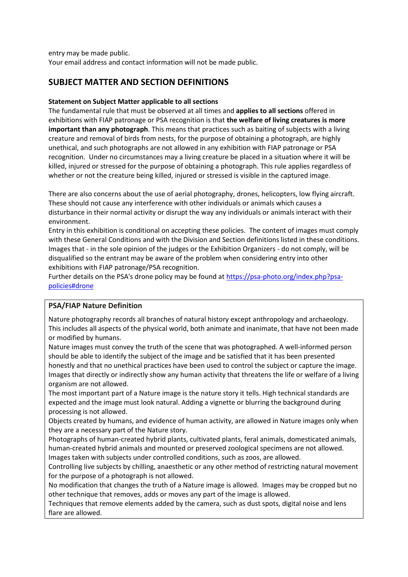entry may be made public. Your email address and contact information will not be made public.

# **SUBJECT MATTER AND SECTION DEFINITIONS**

# **Statement on Subject Matter applicable to all sections**

The fundamental rule that must be observed at all times and **applies to all sections** offered in exhibitions with FIAP patronage or PSA recognition is that **the welfare of living creatures is more important than any photograph**. This means that practices such as baiting of subjects with a living creature and removal of birds from nests, for the purpose of obtaining a photograph, are highly unethical, and such photographs are not allowed in any exhibition with FIAP patronage or PSA recognition. Under no circumstances may a living creature be placed in a situation where it will be killed, injured or stressed for the purpose of obtaining a photograph. This rule applies regardless of whether or not the creature being killed, injured or stressed is visible in the captured image.

There are also concerns about the use of aerial photography, drones, helicopters, low flying aircraft. These should not cause any interference with other individuals or animals which causes a disturbance in their normal activity or disrupt the way any individuals or animals interact with their environment.

Entry in this exhibition is conditional on accepting these policies. The content of images must comply with these General Conditions and with the Division and Section definitions listed in these conditions. Images that - in the sole opinion of the judges or the Exhibition Organizers - do not comply, will be disqualified so the entrant may be aware of the problem when considering entry into other exhibitions with FIAP patronage/PSA recognition.

Further details on the PSA's drone policy may be found at [https://psa-photo.org/index.php?psa](https://psa-photo.org/index.php?psa-policies%23drone)[policies#drone](https://psa-photo.org/index.php?psa-policies%23drone)

# **PSA/FIAP Nature Definition**

Nature photography records all branches of natural history except anthropology and archaeology. This includes all aspects of the physical world, both animate and inanimate, that have not been made or modified by humans.

Nature images must convey the truth of the scene that was photographed. A well-informed person should be able to identify the subject of the image and be satisfied that it has been presented honestly and that no unethical practices have been used to control the subject or capture the image. Images that directly or indirectly show any human activity that threatens the life or welfare of a living organism are not allowed.

The most important part of a Nature image is the nature story it tells. High technical standards are expected and the image must look natural. Adding a vignette or blurring the background during processing is not allowed.

Objects created by humans, and evidence of human activity, are allowed in Nature images only when they are a necessary part of the Nature story.

Photographs of human-created hybrid plants, cultivated plants, feral animals, domesticated animals, human-created hybrid animals and mounted or preserved zoological specimens are not allowed. Images taken with subjects under controlled conditions, such as zoos, are allowed.

Controlling live subjects by chilling, anaesthetic or any other method of restricting natural movement for the purpose of a photograph is not allowed.

No modification that changes the truth of a Nature image is allowed. Images may be cropped but no other technique that removes, adds or moves any part of the image is allowed.

Techniques that remove elements added by the camera, such as dust spots, digital noise and lens flare are allowed.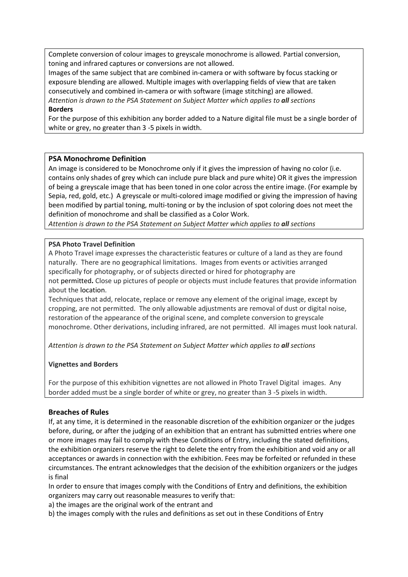Complete conversion of colour images to greyscale monochrome is allowed. Partial conversion, toning and infrared captures or conversions are not allowed.

Images of the same subject that are combined in-camera or with software by focus stacking or exposure blending are allowed. Multiple images with overlapping fields of view that are taken consecutively and combined in-camera or with software (image stitching) are allowed. *Attention is drawn to the PSA Statement on Subject Matter which applies to all sections* **Borders**

For the purpose of this exhibition any border added to a Nature digital file must be a single border of white or grey, no greater than 3 -5 pixels in width.

## **PSA Monochrome Definition**

An image is considered to be Monochrome only if it gives the impression of having no color (i.e. contains only shades of grey which can include pure black and pure white) OR it gives the impression of being a greyscale image that has been toned in one color across the entire image. (For example by Sepia, red, gold, etc.) A greyscale or multi-colored image modified or giving the impression of having been modified by partial toning, multi-toning or by the inclusion of spot coloring does not meet the definition of monochrome and shall be classified as a Color Work.

*Attention is drawn to the PSA Statement on Subject Matter which applies to all sections*

## **PSA Photo Travel Definition**

A Photo Travel image expresses the characteristic features or culture of a land as they are found naturally. There are no geographical limitations. Images from events or activities arranged specifically for photography, or of subjects directed or hired for photography are not permitted**.** Close up pictures of people or objects must include features that provide information about the location.

Techniques that add, relocate, replace or remove any element of the original image, except by cropping, are not permitted. The only allowable adjustments are removal of dust or digital noise, restoration of the appearance of the original scene, and complete conversion to greyscale monochrome. Other derivations, including infrared, are not permitted. All images must look natural.

*Attention is drawn to the PSA Statement on Subject Matter which applies to all sections*

## **Vignettes and Borders**

For the purpose of this exhibition vignettes are not allowed in Photo Travel Digital images. Any border added must be a single border of white or grey, no greater than 3 -5 pixels in width.

## **Breaches of Rules**

If, at any time, it is determined in the reasonable discretion of the exhibition organizer or the judges before, during, or after the judging of an exhibition that an entrant has submitted entries where one or more images may fail to comply with these Conditions of Entry, including the stated definitions, the exhibition organizers reserve the right to delete the entry from the exhibition and void any or all acceptances or awards in connection with the exhibition. Fees may be forfeited or refunded in these circumstances. The entrant acknowledges that the decision of the exhibition organizers or the judges is final

In order to ensure that images comply with the Conditions of Entry and definitions, the exhibition organizers may carry out reasonable measures to verify that:

a) the images are the original work of the entrant and

b) the images comply with the rules and definitions as set out in these Conditions of Entry